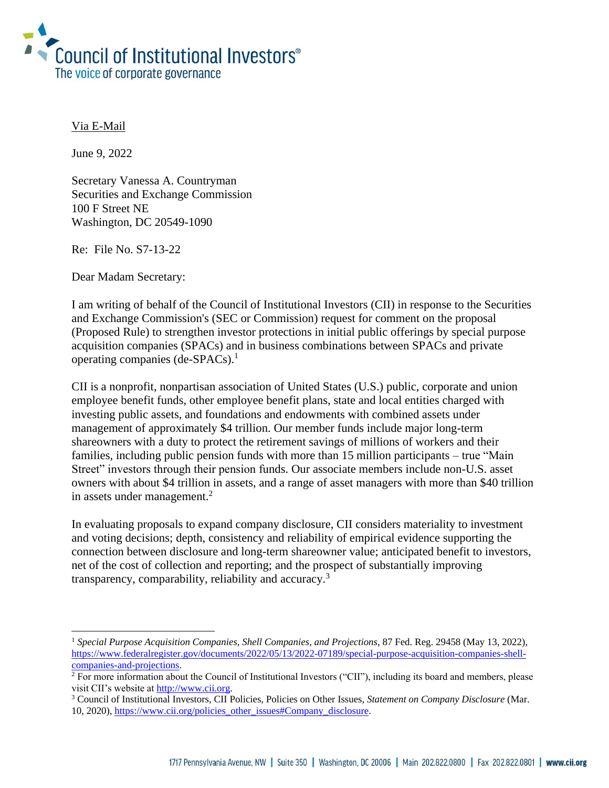

### Via E-Mail

June 9, 2022

Secretary Vanessa A. Countryman Securities and Exchange Commission 100 F Street NE Washington, DC 20549-1090

Re: File No. S7-13-22

Dear Madam Secretary:

I am writing of behalf of the Council of Institutional Investors (CII) in response to the Securities and Exchange Commission's (SEC or Commission) request for comment on the proposal (Proposed Rule) to strengthen investor protections in initial public offerings by special purpose acquisition companies (SPACs) and in business combinations between SPACs and private operating companies (de-SPACs). 1

CII is a nonprofit, nonpartisan association of United States (U.S.) public, corporate and union employee benefit funds, other employee benefit plans, state and local entities charged with investing public assets, and foundations and endowments with combined assets under management of approximately \$4 trillion. Our member funds include major long-term shareowners with a duty to protect the retirement savings of millions of workers and their families, including public pension funds with more than 15 million participants – true "Main Street" investors through their pension funds. Our associate members include non-U.S. asset owners with about \$4 trillion in assets, and a range of asset managers with more than \$40 trillion in assets under management.<sup>2</sup>

In evaluating proposals to expand company disclosure, CII considers materiality to investment and voting decisions; depth, consistency and reliability of empirical evidence supporting the connection between disclosure and long-term shareowner value; anticipated benefit to investors, net of the cost of collection and reporting; and the prospect of substantially improving transparency, comparability, reliability and accuracy.<sup>3</sup>

<sup>&</sup>lt;sup>1</sup> Special Purpose Acquisition Companies, Shell Companies, and Projections, 87 Fed. Reg. 29458 (May 13, 2022), [https://www.federalregister.gov/documents/2022/05/13/2022-07189/special-purpose-acquisition-companies-shell](https://www.federalregister.gov/documents/2022/05/13/2022-07189/special-purpose-acquisition-companies-shell-companies-and-projections)[companies-and-projections.](https://www.federalregister.gov/documents/2022/05/13/2022-07189/special-purpose-acquisition-companies-shell-companies-and-projections)

<sup>2</sup> For more information about the Council of Institutional Investors ("CII"), including its board and members, please visit CII's website a[t http://www.cii.org.](http://www.cii.org/)

<sup>3</sup> Council of Institutional Investors, CII Policies, Policies on Other Issues, *Statement on Company Disclosure* (Mar. 10, 2020), [https://www.cii.org/policies\\_other\\_issues#Company\\_disclosure.](https://www.cii.org/policies_other_issues#Company_disclosure)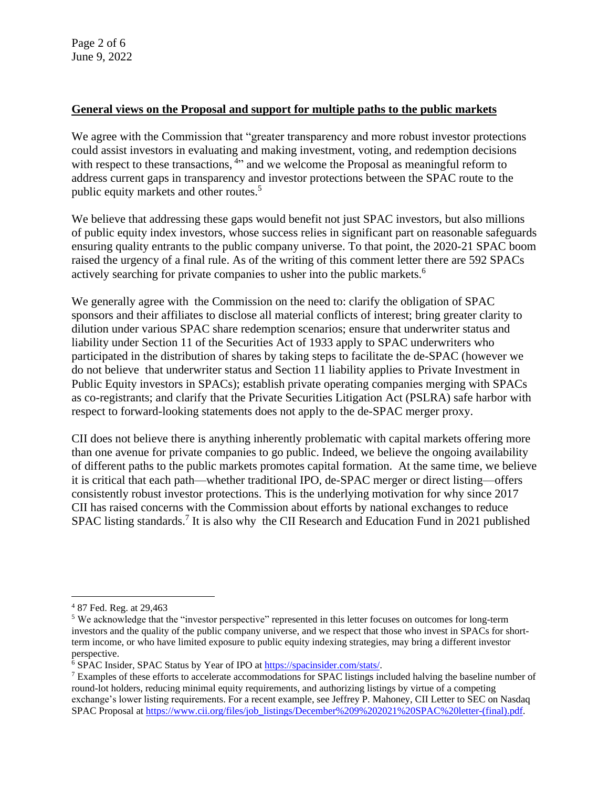#### **General views on the Proposal and support for multiple paths to the public markets**

We agree with the Commission that "greater transparency and more robust investor protections could assist investors in evaluating and making investment, voting, and redemption decisions with respect to these transactions, <sup>4</sup> and we welcome the Proposal as meaningful reform to address current gaps in transparency and investor protections between the SPAC route to the public equity markets and other routes. 5

We believe that addressing these gaps would benefit not just SPAC investors, but also millions of public equity index investors, whose success relies in significant part on reasonable safeguards ensuring quality entrants to the public company universe. To that point, the 2020-21 SPAC boom raised the urgency of a final rule. As of the writing of this comment letter there are 592 SPACs actively searching for private companies to usher into the public markets.<sup>6</sup>

We generally agree with the Commission on the need to: clarify the obligation of SPAC sponsors and their affiliates to disclose all material conflicts of interest; bring greater clarity to dilution under various SPAC share redemption scenarios; ensure that underwriter status and liability under Section 11 of the Securities Act of 1933 apply to SPAC underwriters who participated in the distribution of shares by taking steps to facilitate the de-SPAC (however we do not believe that underwriter status and Section 11 liability applies to Private Investment in Public Equity investors in SPACs); establish private operating companies merging with SPACs as co-registrants; and clarify that the Private Securities Litigation Act (PSLRA) safe harbor with respect to forward-looking statements does not apply to the de-SPAC merger proxy.

CII does not believe there is anything inherently problematic with capital markets offering more than one avenue for private companies to go public. Indeed, we believe the ongoing availability of different paths to the public markets promotes capital formation. At the same time, we believe it is critical that each path—whether traditional IPO, de-SPAC merger or direct listing—offers consistently robust investor protections. This is the underlying motivation for why since 2017 CII has raised concerns with the Commission about efforts by national exchanges to reduce SPAC listing standards.<sup>7</sup> It is also why the CII Research and Education Fund in 2021 published

<sup>4</sup> 87 Fed. Reg. at 29,463

<sup>5</sup> We acknowledge that the "investor perspective" represented in this letter focuses on outcomes for long-term investors and the quality of the public company universe, and we respect that those who invest in SPACs for shortterm income, or who have limited exposure to public equity indexing strategies, may bring a different investor perspective.

<sup>6</sup> SPAC Insider, SPAC Status by Year of IPO at [https://spacinsider.com/stats/.](https://spacinsider.com/stats/)

<sup>7</sup> Examples of these efforts to accelerate accommodations for SPAC listings included halving the baseline number of round-lot holders, reducing minimal equity requirements, and authorizing listings by virtue of a competing exchange's lower listing requirements. For a recent example, see Jeffrey P. Mahoney, CII Letter to SEC on Nasdaq SPAC Proposal a[t https://www.cii.org/files/job\\_listings/December%209%202021%20SPAC%20letter-\(final\).pdf.](https://www.cii.org/files/job_listings/December%209%202021%20SPAC%20letter-(final).pdf)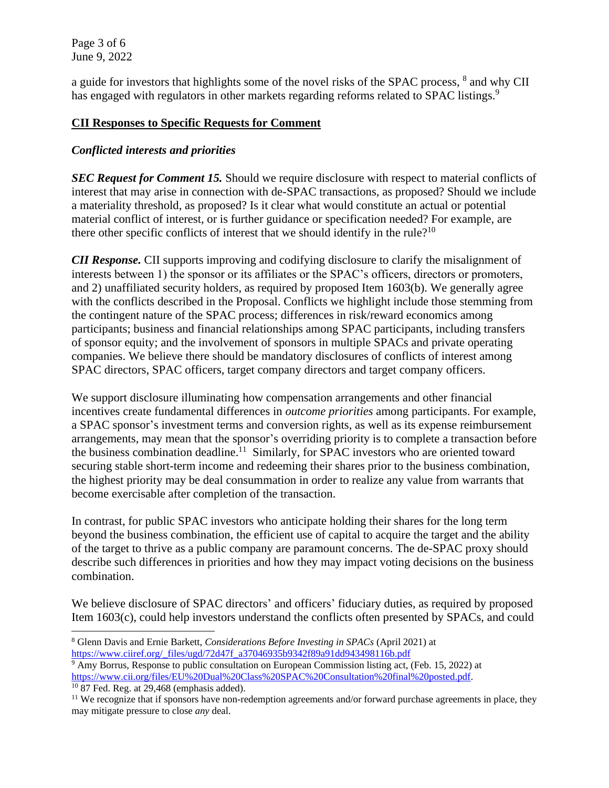Page 3 of 6 June 9, 2022

a guide for investors that highlights some of the novel risks of the SPAC process,  $8$  and why CII has engaged with regulators in other markets regarding reforms related to SPAC listings.<sup>9</sup>

### **CII Responses to Specific Requests for Comment**

## *Conflicted interests and priorities*

*SEC Request for Comment 15.* Should we require disclosure with respect to material conflicts of interest that may arise in connection with de-SPAC transactions, as proposed? Should we include a materiality threshold, as proposed? Is it clear what would constitute an actual or potential material conflict of interest, or is further guidance or specification needed? For example, are there other specific conflicts of interest that we should identify in the rule?<sup>10</sup>

*CII Response.* CII supports improving and codifying disclosure to clarify the misalignment of interests between 1) the sponsor or its affiliates or the SPAC's officers, directors or promoters, and 2) unaffiliated security holders, as required by proposed Item 1603(b). We generally agree with the conflicts described in the Proposal. Conflicts we highlight include those stemming from the contingent nature of the SPAC process; differences in risk/reward economics among participants; business and financial relationships among SPAC participants, including transfers of sponsor equity; and the involvement of sponsors in multiple SPACs and private operating companies. We believe there should be mandatory disclosures of conflicts of interest among SPAC directors, SPAC officers, target company directors and target company officers.

We support disclosure illuminating how compensation arrangements and other financial incentives create fundamental differences in *outcome priorities* among participants. For example, a SPAC sponsor's investment terms and conversion rights, as well as its expense reimbursement arrangements, may mean that the sponsor's overriding priority is to complete a transaction before the business combination deadline.<sup>11</sup> Similarly, for SPAC investors who are oriented toward securing stable short-term income and redeeming their shares prior to the business combination, the highest priority may be deal consummation in order to realize any value from warrants that become exercisable after completion of the transaction.

In contrast, for public SPAC investors who anticipate holding their shares for the long term beyond the business combination, the efficient use of capital to acquire the target and the ability of the target to thrive as a public company are paramount concerns. The de-SPAC proxy should describe such differences in priorities and how they may impact voting decisions on the business combination.

We believe disclosure of SPAC directors' and officers' fiduciary duties, as required by proposed Item 1603(c), could help investors understand the conflicts often presented by SPACs, and could

<sup>8</sup> Glenn Davis and Ernie Barkett, *Considerations Before Investing in SPACs* (April 2021) at [https://www.ciiref.org/\\_files/ugd/72d47f\\_a37046935b9342f89a91dd943498116b.pdf](https://www.ciiref.org/_files/ugd/72d47f_a37046935b9342f89a91dd943498116b.pdf)

<sup>&</sup>lt;sup>9</sup> Amy Borrus, Response to public consultation on European Commission listing act, (Feb. 15, 2022) at [https://www.cii.org/files/EU%20Dual%20Class%20SPAC%20Consultation%20final%20posted.pdf.](https://www.cii.org/files/EU%20Dual%20Class%20SPAC%20Consultation%20final%20posted.pdf)

 $10$  87 Fed. Reg. at 29,468 (emphasis added).

<sup>&</sup>lt;sup>11</sup> We recognize that if sponsors have non-redemption agreements and/or forward purchase agreements in place, they may mitigate pressure to close *any* deal.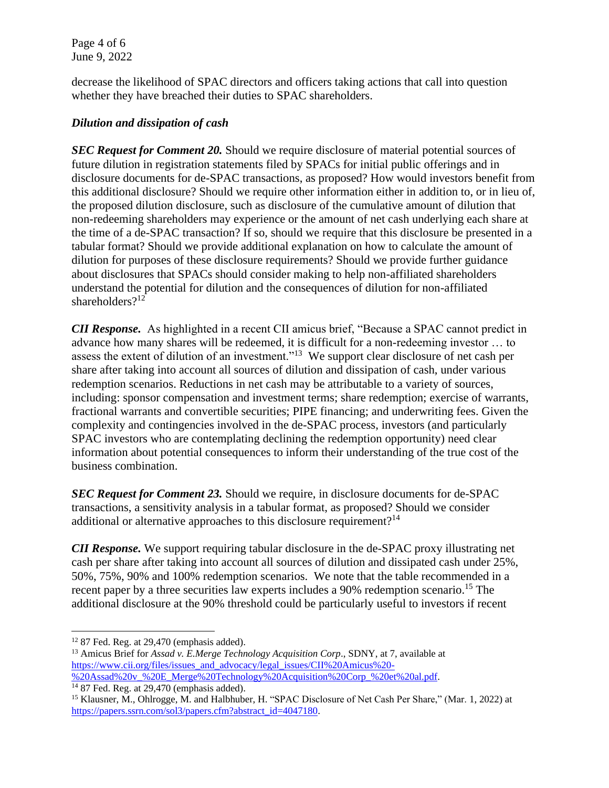Page 4 of 6 June 9, 2022

decrease the likelihood of SPAC directors and officers taking actions that call into question whether they have breached their duties to SPAC shareholders.

## *Dilution and dissipation of cash*

*SEC Request for Comment 20.* Should we require disclosure of material potential sources of future dilution in registration statements filed by SPACs for initial public offerings and in disclosure documents for de-SPAC transactions, as proposed? How would investors benefit from this additional disclosure? Should we require other information either in addition to, or in lieu of, the proposed dilution disclosure, such as disclosure of the cumulative amount of dilution that non-redeeming shareholders may experience or the amount of net cash underlying each share at the time of a de-SPAC transaction? If so, should we require that this disclosure be presented in a tabular format? Should we provide additional explanation on how to calculate the amount of dilution for purposes of these disclosure requirements? Should we provide further guidance about disclosures that SPACs should consider making to help non-affiliated shareholders understand the potential for dilution and the consequences of dilution for non-affiliated shareholders?<sup>12</sup>

*CII Response.* As highlighted in a recent CII amicus brief, "Because a SPAC cannot predict in advance how many shares will be redeemed, it is difficult for a non-redeeming investor … to assess the extent of dilution of an investment."<sup>13</sup> We support clear disclosure of net cash per share after taking into account all sources of dilution and dissipation of cash, under various redemption scenarios. Reductions in net cash may be attributable to a variety of sources, including: sponsor compensation and investment terms; share redemption; exercise of warrants, fractional warrants and convertible securities; PIPE financing; and underwriting fees. Given the complexity and contingencies involved in the de-SPAC process, investors (and particularly SPAC investors who are contemplating declining the redemption opportunity) need clear information about potential consequences to inform their understanding of the true cost of the business combination.

*SEC Request for Comment 23.* Should we require, in disclosure documents for de-SPAC transactions, a sensitivity analysis in a tabular format, as proposed? Should we consider additional or alternative approaches to this disclosure requirement?<sup>14</sup>

*CII Response.* We support requiring tabular disclosure in the de-SPAC proxy illustrating net cash per share after taking into account all sources of dilution and dissipated cash under 25%, 50%, 75%, 90% and 100% redemption scenarios. We note that the table recommended in a recent paper by a three securities law experts includes a 90% redemption scenario.<sup>15</sup> The additional disclosure at the 90% threshold could be particularly useful to investors if recent

 $12$  87 Fed. Reg. at 29,470 (emphasis added).

<sup>&</sup>lt;sup>13</sup> Amicus Brief for *Assad v. E.Merge Technology Acquisition Corp.*, SDNY, at 7, available at [https://www.cii.org/files/issues\\_and\\_advocacy/legal\\_issues/CII%20Amicus%20-](https://www.cii.org/files/issues_and_advocacy/legal_issues/CII%20Amicus%20-%20Assad%20v_%20E_Merge%20Technology%20Acquisition%20Corp_%20et%20al.pdf) [%20Assad%20v\\_%20E\\_Merge%20Technology%20Acquisition%20Corp\\_%20et%20al.pdf.](https://www.cii.org/files/issues_and_advocacy/legal_issues/CII%20Amicus%20-%20Assad%20v_%20E_Merge%20Technology%20Acquisition%20Corp_%20et%20al.pdf)

 $1487$  Fed. Reg. at 29,470 (emphasis added).

<sup>&</sup>lt;sup>15</sup> Klausner, M., Ohlrogge, M. and Halbhuber, H. "SPAC Disclosure of Net Cash Per Share," (Mar. 1, 2022) at [https://papers.ssrn.com/sol3/papers.cfm?abstract\\_id=4047180.](https://papers.ssrn.com/sol3/papers.cfm?abstract_id=4047180)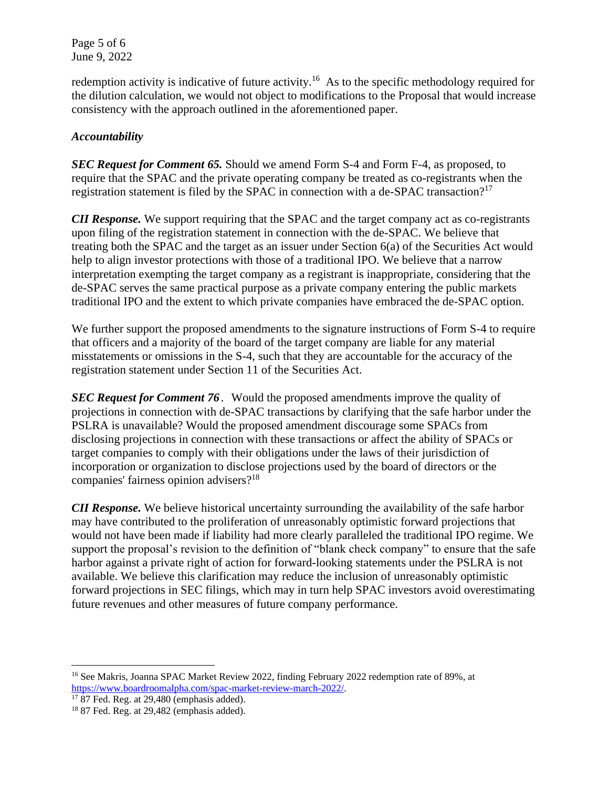Page 5 of 6 June 9, 2022

redemption activity is indicative of future activity.<sup>16</sup> As to the specific methodology required for the dilution calculation, we would not object to modifications to the Proposal that would increase consistency with the approach outlined in the aforementioned paper.

# *Accountability*

*SEC Request for Comment 65.* Should we amend Form S-4 and Form F-4, as proposed, to require that the SPAC and the private operating company be treated as co-registrants when the registration statement is filed by the SPAC in connection with a de-SPAC transaction?<sup>17</sup>

*CII Response.* We support requiring that the SPAC and the target company act as co-registrants upon filing of the registration statement in connection with the de-SPAC. We believe that treating both the SPAC and the target as an issuer under Section 6(a) of the Securities Act would help to align investor protections with those of a traditional IPO. We believe that a narrow interpretation exempting the target company as a registrant is inappropriate, considering that the de-SPAC serves the same practical purpose as a private company entering the public markets traditional IPO and the extent to which private companies have embraced the de-SPAC option.

We further support the proposed amendments to the signature instructions of Form S-4 to require that officers and a majority of the board of the target company are liable for any material misstatements or omissions in the S-4, such that they are accountable for the accuracy of the registration statement under Section 11 of the Securities Act.

*SEC Request for Comment 76*. Would the proposed amendments improve the quality of projections in connection with de-SPAC transactions by clarifying that the safe harbor under the PSLRA is unavailable? Would the proposed amendment discourage some SPACs from disclosing projections in connection with these transactions or affect the ability of SPACs or target companies to comply with their obligations under the laws of their jurisdiction of incorporation or organization to disclose projections used by the board of directors or the companies' fairness opinion advisers?<sup>18</sup>

*CII Response.* We believe historical uncertainty surrounding the availability of the safe harbor may have contributed to the proliferation of unreasonably optimistic forward projections that would not have been made if liability had more clearly paralleled the traditional IPO regime. We support the proposal's revision to the definition of "blank check company" to ensure that the safe harbor against a private right of action for forward-looking statements under the PSLRA is not available. We believe this clarification may reduce the inclusion of unreasonably optimistic forward projections in SEC filings, which may in turn help SPAC investors avoid overestimating future revenues and other measures of future company performance.

<sup>&</sup>lt;sup>16</sup> See Makris, Joanna SPAC Market Review 2022, finding February 2022 redemption rate of 89%, at [https://www.boardroomalpha.com/spac-market-review-march-2022/.](https://www.boardroomalpha.com/spac-market-review-march-2022/)

 $17$  87 Fed. Reg. at 29,480 (emphasis added).

<sup>&</sup>lt;sup>18</sup> 87 Fed. Reg. at 29,482 (emphasis added).